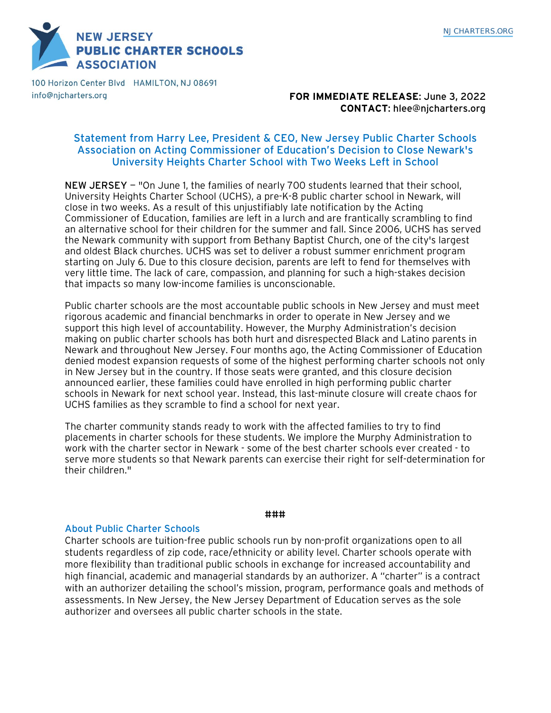**NEW JERSEY PUBLIC CHARTER SCHOOLS ASSOCIATION** 

100 Horizon Center Blvd HAMILTON, NJ 08691 info@njcharters.org

# **FOR IMMEDIATE RELEASE**: June 3, 2022 **CONTACT**: hlee@njcharters.org

# Statement from Harry Lee, President & CEO, New Jersey Public Charter Schools Association on Acting Commissioner of Education's Decision to Close Newark's University Heights Charter School with Two Weeks Left in School

NEW JERSEY — "On June 1, the families of nearly 700 students learned that their school, University Heights Charter School (UCHS), a pre-K-8 public charter school in Newark, will close in two weeks. As a result of this unjustifiably late notification by the Acting Commissioner of Education, families are left in a lurch and are frantically scrambling to find an alternative school for their children for the summer and fall. Since 2006, UCHS has served the Newark community with support from Bethany Baptist Church, one of the city's largest and oldest Black churches. UCHS was set to deliver a robust summer enrichment program starting on July 6. Due to this closure decision, parents are left to fend for themselves with very little time. The lack of care, compassion, and planning for such a high-stakes decision that impacts so many low-income families is unconscionable.

Public charter schools are the most accountable public schools in New Jersey and must meet rigorous academic and financial benchmarks in order to operate in New Jersey and we support this high level of accountability. However, the Murphy Administration's decision making on public charter schools has both hurt and disrespected Black and Latino parents in Newark and throughout New Jersey. Four months ago, the Acting Commissioner of Education denied modest expansion requests of some of the highest performing charter schools not only in New Jersey but in the country. If those seats were granted, and this closure decision announced earlier, these families could have enrolled in high performing public charter schools in Newark for next school year. Instead, this last-minute closure will create chaos for UCHS families as they scramble to find a school for next year.

The charter community stands ready to work with the affected families to try to find placements in charter schools for these students. We implore the Murphy Administration to work with the charter sector in Newark - some of the best charter schools ever created - to serve more students so that Newark parents can exercise their right for self-determination for their children."

#### ###

### About Public Charter Schools

Charter schools are tuition-free public schools run by non-profit organizations open to all students regardless of zip code, race/ethnicity or ability level. Charter schools operate with more flexibility than traditional public schools in exchange for increased accountability and high financial, academic and managerial standards by an authorizer. A "charter" is a contract with an authorizer detailing the school's mission, program, performance goals and methods of assessments. In New Jersey, the New Jersey Department of Education serves as the sole authorizer and oversees all public charter schools in the state.